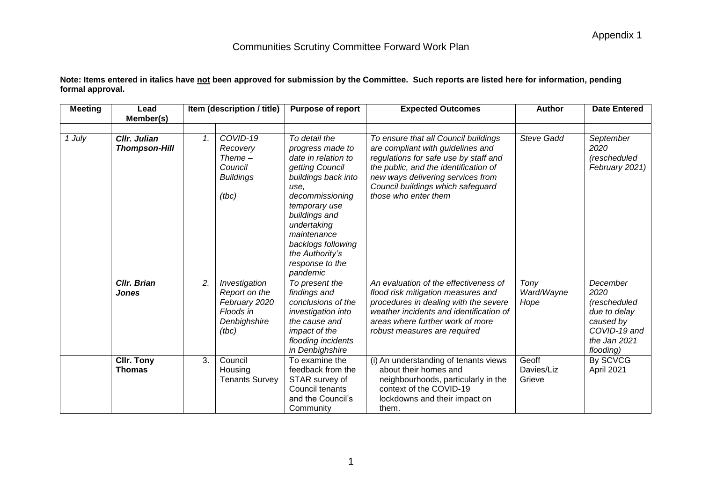| Note: Items entered in italics have <u>not</u> been approved for submission by the Committee.  Such reports are listed here for information, pending |  |
|------------------------------------------------------------------------------------------------------------------------------------------------------|--|
| formal approval.                                                                                                                                     |  |

| <b>Meeting</b> | Lead<br>Member(s)                    |                 | Item (description / title)                                                            | <b>Purpose of report</b>                                                                                                                                                                                                                                              | <b>Expected Outcomes</b>                                                                                                                                                                                                                                      | <b>Author</b>                 | <b>Date Entered</b>                                                                                        |
|----------------|--------------------------------------|-----------------|---------------------------------------------------------------------------------------|-----------------------------------------------------------------------------------------------------------------------------------------------------------------------------------------------------------------------------------------------------------------------|---------------------------------------------------------------------------------------------------------------------------------------------------------------------------------------------------------------------------------------------------------------|-------------------------------|------------------------------------------------------------------------------------------------------------|
| 1 July         | Cllr. Julian<br><b>Thompson-Hill</b> | $\mathcal{1}$ . | COVID-19<br>Recovery<br>$Thene-$<br>Council<br><b>Buildings</b><br>(tbc)              | To detail the<br>progress made to<br>date in relation to<br>getting Council<br>buildings back into<br>use.<br>decommissioning<br>temporary use<br>buildings and<br>undertaking<br>maintenance<br>backlogs following<br>the Authority's<br>response to the<br>pandemic | To ensure that all Council buildings<br>are compliant with guidelines and<br>regulations for safe use by staff and<br>the public, and the identification of<br>new ways delivering services from<br>Council buildings which safeguard<br>those who enter them | <b>Steve Gadd</b>             | September<br>2020<br>(rescheduled<br>February 2021)                                                        |
|                | <b>CIIr. Brian</b><br>Jones          | 2.              | Investigation<br>Report on the<br>February 2020<br>Floods in<br>Denbighshire<br>(tbc) | To present the<br>findings and<br>conclusions of the<br>investigation into<br>the cause and<br>impact of the<br>flooding incidents<br>in Denbighshire                                                                                                                 | An evaluation of the effectiveness of<br>flood risk mitigation measures and<br>procedures in dealing with the severe<br>weather incidents and identification of<br>areas where further work of more<br>robust measures are required                           | Tony<br>Ward/Wayne<br>Hope    | December<br>2020<br>(rescheduled<br>due to delay<br>caused by<br>COVID-19 and<br>the Jan 2021<br>flooding) |
|                | <b>CIIr. Tony</b><br><b>Thomas</b>   | 3.              | Council<br>Housing<br><b>Tenants Survey</b>                                           | To examine the<br>feedback from the<br>STAR survey of<br>Council tenants<br>and the Council's<br>Community                                                                                                                                                            | (i) An understanding of tenants views<br>about their homes and<br>neighbourhoods, particularly in the<br>context of the COVID-19<br>lockdowns and their impact on<br>them.                                                                                    | Geoff<br>Davies/Liz<br>Grieve | By SCVCG<br>April 2021                                                                                     |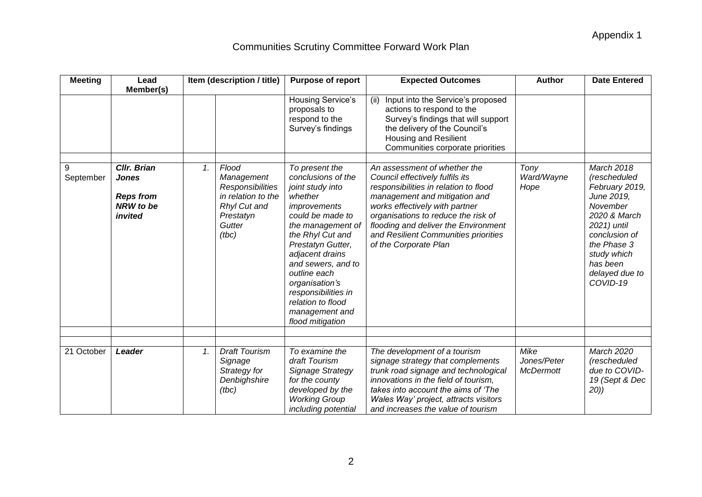| <b>Meeting</b> | Lead                                                                                        |    | Item (description / title)                                                                                           | <b>Purpose of report</b>                                                                                                                                                                                                                                                                                                                                                                   | <b>Expected Outcomes</b>                                                                                                                                                                                                                                                                                                                                                                                                                                                                                                                   | <b>Author</b>                           | <b>Date Entered</b>                                                                                                                                                                                   |
|----------------|---------------------------------------------------------------------------------------------|----|----------------------------------------------------------------------------------------------------------------------|--------------------------------------------------------------------------------------------------------------------------------------------------------------------------------------------------------------------------------------------------------------------------------------------------------------------------------------------------------------------------------------------|--------------------------------------------------------------------------------------------------------------------------------------------------------------------------------------------------------------------------------------------------------------------------------------------------------------------------------------------------------------------------------------------------------------------------------------------------------------------------------------------------------------------------------------------|-----------------------------------------|-------------------------------------------------------------------------------------------------------------------------------------------------------------------------------------------------------|
| 9<br>September | Member(s)<br>Cllr. Brian<br><b>Jones</b><br><b>Reps from</b><br><b>NRW</b> to be<br>invited | 1. | Flood<br>Management<br><b>Responsibilities</b><br>in relation to the<br>Rhyl Cut and<br>Prestatyn<br>Gutter<br>(tbc) | Housing Service's<br>proposals to<br>respond to the<br>Survey's findings<br>To present the<br>conclusions of the<br>joint study into<br>whether<br>improvements<br>could be made to<br>the management of<br>the Rhyl Cut and<br>Prestatyn Gutter,<br>adjacent drains<br>and sewers, and to<br>outline each<br>organisation's<br>responsibilities in<br>relation to flood<br>management and | Input into the Service's proposed<br>(ii)<br>actions to respond to the<br>Survey's findings that will support<br>the delivery of the Council's<br>Housing and Resilient<br>Communities corporate priorities<br>An assessment of whether the<br>Council effectively fulfils its<br>responsibilities in relation to flood<br>management and mitigation and<br>works effectively with partner<br>organisations to reduce the risk of<br>flooding and deliver the Environment<br>and Resilient Communities priorities<br>of the Corporate Plan | Tony<br>Ward/Wayne<br>Hope              | <b>March 2018</b><br>(rescheduled<br>February 2019,<br>June 2019,<br>November<br>2020 & March<br>2021) until<br>conclusion of<br>the Phase 3<br>study which<br>has been<br>delayed due to<br>COVID-19 |
|                |                                                                                             |    |                                                                                                                      | flood mitigation                                                                                                                                                                                                                                                                                                                                                                           |                                                                                                                                                                                                                                                                                                                                                                                                                                                                                                                                            |                                         |                                                                                                                                                                                                       |
|                |                                                                                             |    |                                                                                                                      |                                                                                                                                                                                                                                                                                                                                                                                            |                                                                                                                                                                                                                                                                                                                                                                                                                                                                                                                                            |                                         |                                                                                                                                                                                                       |
| 21 October     | Leader                                                                                      | 1. | <b>Draft Tourism</b><br>Signage<br>Strategy for<br>Denbighshire<br>(tbc)                                             | To examine the<br>draft Tourism<br>Signage Strategy<br>for the county<br>developed by the<br><b>Working Group</b><br>including potential                                                                                                                                                                                                                                                   | The development of a tourism<br>signage strategy that complements<br>trunk road signage and technological<br>innovations in the field of tourism,<br>takes into account the aims of 'The<br>Wales Way' project, attracts visitors<br>and increases the value of tourism                                                                                                                                                                                                                                                                    | Mike<br>Jones/Peter<br><b>McDermott</b> | March 2020<br>(rescheduled<br>due to COVID-<br>19 (Sept & Dec<br>20)                                                                                                                                  |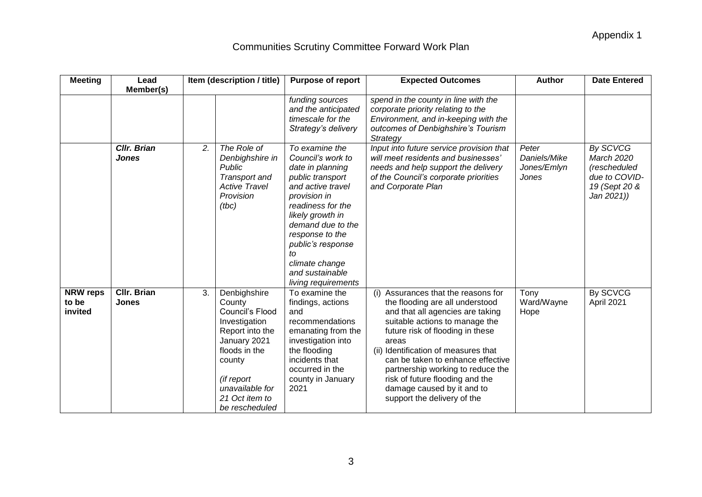| <b>Meeting</b>                      | Lead                               | Item (description / title)                                                                                                                                                                          | <b>Purpose of report</b>                                                                                                                                                                                                                                                                 | <b>Expected Outcomes</b>                                                                                                                                                                                                                                                                                                                                                                                    | <b>Author</b>                                 | <b>Date Entered</b>                                                                    |
|-------------------------------------|------------------------------------|-----------------------------------------------------------------------------------------------------------------------------------------------------------------------------------------------------|------------------------------------------------------------------------------------------------------------------------------------------------------------------------------------------------------------------------------------------------------------------------------------------|-------------------------------------------------------------------------------------------------------------------------------------------------------------------------------------------------------------------------------------------------------------------------------------------------------------------------------------------------------------------------------------------------------------|-----------------------------------------------|----------------------------------------------------------------------------------------|
|                                     | Member(s)                          |                                                                                                                                                                                                     |                                                                                                                                                                                                                                                                                          |                                                                                                                                                                                                                                                                                                                                                                                                             |                                               |                                                                                        |
|                                     |                                    |                                                                                                                                                                                                     | funding sources<br>and the anticipated<br>timescale for the<br>Strategy's delivery                                                                                                                                                                                                       | spend in the county in line with the<br>corporate priority relating to the<br>Environment, and in-keeping with the<br>outcomes of Denbighshire's Tourism<br>Strategy                                                                                                                                                                                                                                        |                                               |                                                                                        |
|                                     | <b>CIIr. Brian</b><br><b>Jones</b> | 2.<br>The Role of<br>Denbighshire in<br><b>Public</b><br>Transport and<br><b>Active Travel</b><br>Provision<br>(tbc)                                                                                | To examine the<br>Council's work to<br>date in planning<br>public transport<br>and active travel<br>provision in<br>readiness for the<br>likely growth in<br>demand due to the<br>response to the<br>public's response<br>tΟ<br>climate change<br>and sustainable<br>living requirements | Input into future service provision that<br>will meet residents and businesses'<br>needs and help support the delivery<br>of the Council's corporate priorities<br>and Corporate Plan                                                                                                                                                                                                                       | Peter<br>Daniels/Mike<br>Jones/Emlyn<br>Jones | By SCVCG<br>March 2020<br>(rescheduled<br>due to COVID-<br>19 (Sept 20 &<br>Jan 2021)) |
| <b>NRW reps</b><br>to be<br>invited | <b>CIIr. Brian</b><br><b>Jones</b> | 3.<br>Denbighshire<br>County<br>Council's Flood<br>Investigation<br>Report into the<br>January 2021<br>floods in the<br>county<br>(if report<br>unavailable for<br>21 Oct item to<br>be rescheduled | To examine the<br>findings, actions<br>and<br>recommendations<br>emanating from the<br>investigation into<br>the flooding<br>incidents that<br>occurred in the<br>county in January<br>2021                                                                                              | (i) Assurances that the reasons for<br>the flooding are all understood<br>and that all agencies are taking<br>suitable actions to manage the<br>future risk of flooding in these<br>areas<br>(ii) Identification of measures that<br>can be taken to enhance effective<br>partnership working to reduce the<br>risk of future flooding and the<br>damage caused by it and to<br>support the delivery of the | Tony<br>Ward/Wayne<br>Hope                    | By SCVCG<br>April 2021                                                                 |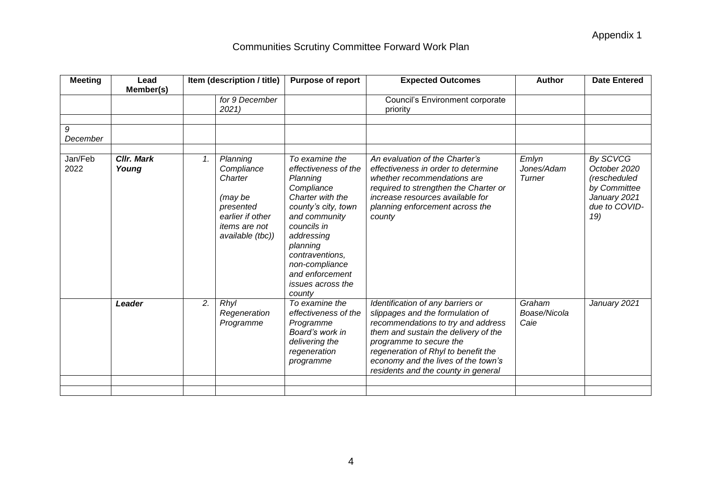| <b>Meeting</b>  | Lead                       |    | Item (description / title)                                                                                                | <b>Purpose of report</b>                                                                                                                                                                                                                                            | <b>Expected Outcomes</b>                                                                                                                                                                                                                                                                            | <b>Author</b>                  | <b>Date Entered</b>                                                                              |
|-----------------|----------------------------|----|---------------------------------------------------------------------------------------------------------------------------|---------------------------------------------------------------------------------------------------------------------------------------------------------------------------------------------------------------------------------------------------------------------|-----------------------------------------------------------------------------------------------------------------------------------------------------------------------------------------------------------------------------------------------------------------------------------------------------|--------------------------------|--------------------------------------------------------------------------------------------------|
|                 | Member(s)                  |    |                                                                                                                           |                                                                                                                                                                                                                                                                     |                                                                                                                                                                                                                                                                                                     |                                |                                                                                                  |
|                 |                            |    | for 9 December<br>2021                                                                                                    |                                                                                                                                                                                                                                                                     | <b>Council's Environment corporate</b><br>priority                                                                                                                                                                                                                                                  |                                |                                                                                                  |
|                 |                            |    |                                                                                                                           |                                                                                                                                                                                                                                                                     |                                                                                                                                                                                                                                                                                                     |                                |                                                                                                  |
| 9<br>December   |                            |    |                                                                                                                           |                                                                                                                                                                                                                                                                     |                                                                                                                                                                                                                                                                                                     |                                |                                                                                                  |
|                 |                            |    |                                                                                                                           |                                                                                                                                                                                                                                                                     |                                                                                                                                                                                                                                                                                                     |                                |                                                                                                  |
| Jan/Feb<br>2022 | <b>CIIr. Mark</b><br>Young | 1. | Planning<br>Compliance<br>Charter<br>(may be<br>presented<br>earlier if other<br><i>items are not</i><br>available (tbc)) | To examine the<br>effectiveness of the<br>Planning<br>Compliance<br>Charter with the<br>county's city, town<br>and community<br>councils in<br>addressing<br>planning<br>contraventions,<br>non-compliance<br>and enforcement<br><i>issues across the</i><br>county | An evaluation of the Charter's<br>effectiveness in order to determine<br>whether recommendations are<br>required to strengthen the Charter or<br>increase resources available for<br>planning enforcement across the<br>county                                                                      | Emlyn<br>Jones/Adam<br>Turner  | By SCVCG<br>October 2020<br>(rescheduled<br>by Committee<br>January 2021<br>due to COVID-<br>19) |
|                 | Leader                     | 2. | Rhyl<br>Regeneration<br>Programme                                                                                         | To examine the<br>effectiveness of the<br>Programme<br>Board's work in<br>delivering the<br>regeneration<br>programme                                                                                                                                               | Identification of any barriers or<br>slippages and the formulation of<br>recommendations to try and address<br>them and sustain the delivery of the<br>programme to secure the<br>regeneration of Rhyl to benefit the<br>economy and the lives of the town's<br>residents and the county in general | Graham<br>Boase/Nicola<br>Caie | January 2021                                                                                     |
|                 |                            |    |                                                                                                                           |                                                                                                                                                                                                                                                                     |                                                                                                                                                                                                                                                                                                     |                                |                                                                                                  |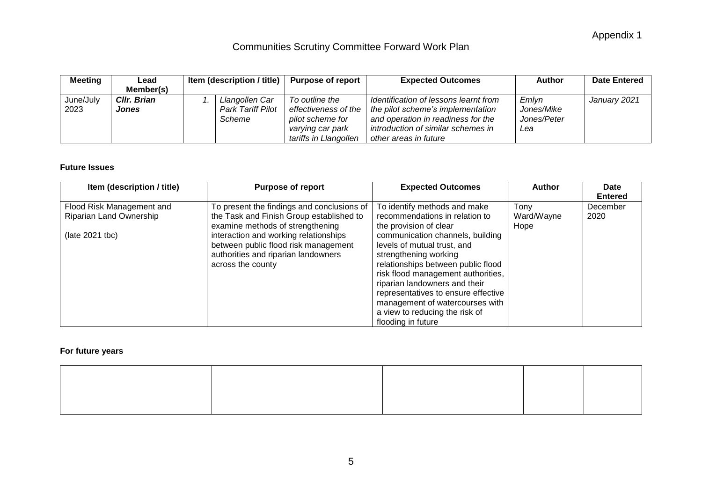| <b>Meeting</b> | Lead        | Item (description / title) $\vert$ | <b>Purpose of report</b> | <b>Expected Outcomes</b>              | Author            | <b>Date Entered</b> |
|----------------|-------------|------------------------------------|--------------------------|---------------------------------------|-------------------|---------------------|
|                | Member(s)   |                                    |                          |                                       |                   |                     |
| June/July      | CIIr. Brian | Llangollen Car                     | To outline the           | Identification of lessons learnt from | Emlyn             | January 2021        |
| 2023           | Jones       | <b>Park Tariff Pilot</b>           | effectiveness of the     | the pilot scheme's implementation     | <i>Jones/Mike</i> |                     |
|                |             | Scheme                             | pilot scheme for         | and operation in readiness for the    | Jones/Peter       |                     |
|                |             |                                    | varying car park         | introduction of similar schemes in    | Lea               |                     |
|                |             |                                    | tariffs in Llangollen    | other areas in future                 |                   |                     |

#### **Future Issues**

| Item (description / title) | <b>Purpose of report</b>                                                                                                                                                      | <b>Expected Outcomes</b>                                                                                                                                                                                                                                                                                                                                          | Author     | Date<br><b>Entered</b> |
|----------------------------|-------------------------------------------------------------------------------------------------------------------------------------------------------------------------------|-------------------------------------------------------------------------------------------------------------------------------------------------------------------------------------------------------------------------------------------------------------------------------------------------------------------------------------------------------------------|------------|------------------------|
| Flood Risk Management and  | To present the findings and conclusions of                                                                                                                                    | To identify methods and make                                                                                                                                                                                                                                                                                                                                      | Tony       | December               |
| Riparian Land Ownership    | the Task and Finish Group established to                                                                                                                                      | recommendations in relation to                                                                                                                                                                                                                                                                                                                                    | Ward/Wayne | 2020                   |
| (late 2021 tbc)            | examine methods of strengthening<br>interaction and working relationships<br>between public flood risk management<br>authorities and riparian landowners<br>across the county | the provision of clear<br>communication channels, building<br>levels of mutual trust, and<br>strengthening working<br>relationships between public flood<br>risk flood management authorities,<br>riparian landowners and their<br>representatives to ensure effective<br>management of watercourses with<br>a view to reducing the risk of<br>flooding in future | Hope       |                        |

#### **For future years**